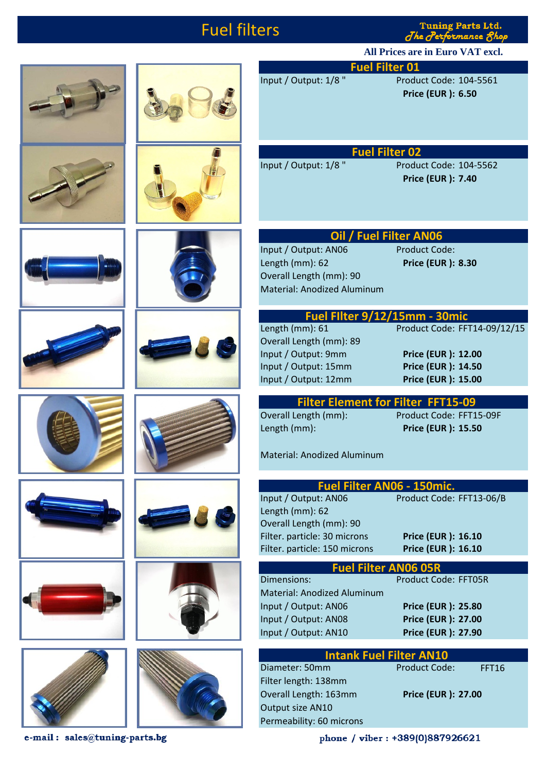## Fuel filters

**Tuning Parts Ltd.** The Performance &

**All Prices are in Euro VAT excl.**























Input / Output: 1/8 " Product Code: 104-5561 **Price (EUR ): 6.50**

**Fuel Filter 02**

Input / Output: 1/8 " Product Code: 104-5562 **Price (EUR ): 7.40**

## **Oil / Fuel Filter AN06**

**Fuel Filter 01** 

Input / Output: AN06 Product Code: Length (mm): 62 **Price (EUR ): 8.30** Overall Length (mm): 90 Material: Anodized Aluminum

## **Fuel Filter 9/12/15mm - 30mic**<br>Length (mm): 61 Product Code: FF Product Code: FFT14-09/12/15

Overall Length (mm): 89 Input / Output: 9mm **Price (EUR ): 12.00** Input / Output: 15mm **Price (EUR ): 14.50** Input / Output: 12mm **Price (EUR ): 15.00**

**Filter Element for Filter FFT15-09** Overall Length (mm): Product Code: FFT15-09F Length (mm): **Price (EUR ): 15.50**

Material: Anodized Aluminum

| Fuel Filter AN06 - 150mic.         |                             |  |  |  |
|------------------------------------|-----------------------------|--|--|--|
| Input / Output: AN06               | Product Code: FFT13-06/B    |  |  |  |
| Length (mm): 62                    |                             |  |  |  |
| Overall Length (mm): 90            |                             |  |  |  |
| Filter. particle: 30 microns       | <b>Price (EUR ): 16.10</b>  |  |  |  |
| Filter. particle: 150 microns      | <b>Price (EUR ): 16.10</b>  |  |  |  |
|                                    |                             |  |  |  |
| <b>Fuel Filter AN06 05R</b>        |                             |  |  |  |
| Dimensions:                        | <b>Product Code: FFT05R</b> |  |  |  |
| <b>Material: Anodized Aluminum</b> |                             |  |  |  |
| Input / Output: AN06               | <b>Price (EUR ): 25.80</b>  |  |  |  |
| Input / Output: AN08               | <b>Price (EUR ): 27.00</b>  |  |  |  |

| <b>Intank Fuel Filter AN10</b> |                      |                            |  |  |  |
|--------------------------------|----------------------|----------------------------|--|--|--|
| Diameter: 50mm                 | <b>Product Code:</b> | <b>FFT16</b>               |  |  |  |
| Filter length: 138mm           |                      |                            |  |  |  |
| Overall Length: 163mm          |                      | <b>Price (EUR ): 27.00</b> |  |  |  |
| Output size AN10               |                      |                            |  |  |  |
| Permeability: 60 microns       |                      |                            |  |  |  |
|                                |                      |                            |  |  |  |

Input / Output: AN10 **Price (EUR ): 27.90**

e-mail: sales@tuning-parts.bg

phone / viber: +389(0)887926621